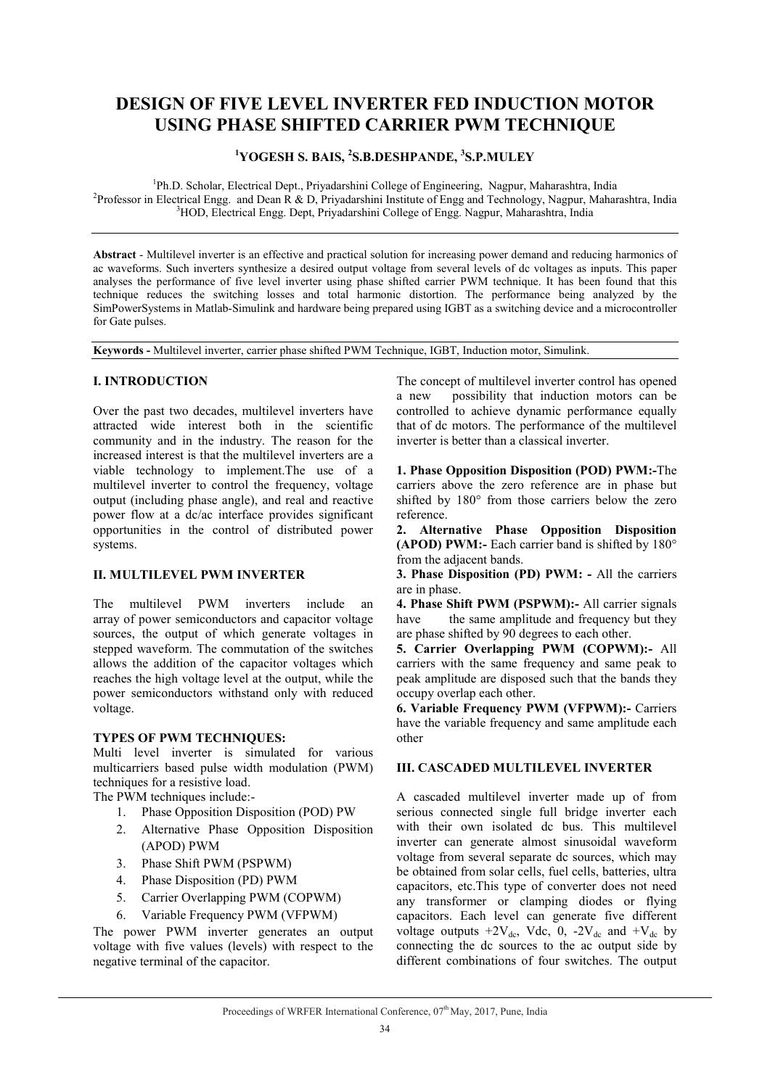# **DESIGN OF FIVE LEVEL INVERTER FED INDUCTION MOTOR USING PHASE SHIFTED CARRIER PWM TECHNIQUE**

# **1 YOGESH S. BAIS, <sup>2</sup> S.B.DESHPANDE, <sup>3</sup> S.P.MULEY**

<sup>1</sup>Ph.D. Scholar, Electrical Dept., Priyadarshini College of Engineering, Nagpur, Maharashtra, India<br><sup>2</sup>Professor in Electrical Engg and Dean P. & D. Priyadarshini Institute of Engg and Technology, Nagpur, Maha <sup>2</sup>Professor in Electrical Engg. and Dean R & D, Priyadarshini Institute of Engg and Technology, Nagpur, Maharashtra, India <sup>3</sup>HOD, Electrical Engg. Dept, Priyadarshini College of Engg. Nagpur, Maharashtra, India

**Abstract** - Multilevel inverter is an effective and practical solution for increasing power demand and reducing harmonics of ac waveforms. Such inverters synthesize a desired output voltage from several levels of dc voltages as inputs. This paper analyses the performance of five level inverter using phase shifted carrier PWM technique. It has been found that this technique reduces the switching losses and total harmonic distortion. The performance being analyzed by the SimPowerSystems in Matlab-Simulink and hardware being prepared using IGBT as a switching device and a microcontroller for Gate pulses.

**Keywords -** Multilevel inverter, carrier phase shifted PWM Technique, IGBT, Induction motor, Simulink.

# **I. INTRODUCTION**

Over the past two decades, multilevel inverters have attracted wide interest both in the scientific community and in the industry. The reason for the increased interest is that the multilevel inverters are a viable technology to implement.The use of a multilevel inverter to control the frequency, voltage output (including phase angle), and real and reactive power flow at a dc/ac interface provides significant opportunities in the control of distributed power systems.

# **II. MULTILEVEL PWM INVERTER**

The multilevel PWM inverters include an array of power semiconductors and capacitor voltage sources, the output of which generate voltages in stepped waveform. The commutation of the switches allows the addition of the capacitor voltages which reaches the high voltage level at the output, while the power semiconductors withstand only with reduced voltage.

## **TYPES OF PWM TECHNIQUES:**

Multi level inverter is simulated for various multicarriers based pulse width modulation (PWM) techniques for a resistive load.

The PWM techniques include:-

- 1. Phase Opposition Disposition (POD) PW
- 2. Alternative Phase Opposition Disposition (APOD) PWM
- 3. Phase Shift PWM (PSPWM)
- 4. Phase Disposition (PD) PWM
- 5. Carrier Overlapping PWM (COPWM)
- 6. Variable Frequency PWM (VFPWM)

The power PWM inverter generates an output voltage with five values (levels) with respect to the negative terminal of the capacitor.

The concept of multilevel inverter control has opened a new possibility that induction motors can be controlled to achieve dynamic performance equally that of dc motors. The performance of the multilevel inverter is better than a classical inverter.

**1. Phase Opposition Disposition (POD) PWM:-**The carriers above the zero reference are in phase but shifted by 180° from those carriers below the zero reference.

**2. Alternative Phase Opposition Disposition (APOD) PWM:-** Each carrier band is shifted by 180° from the adjacent bands.

**3. Phase Disposition (PD) PWM: -** All the carriers are in phase.

**4. Phase Shift PWM (PSPWM):-** All carrier signals have the same amplitude and frequency but they are phase shifted by 90 degrees to each other.

**5. Carrier Overlapping PWM (COPWM):-** All carriers with the same frequency and same peak to peak amplitude are disposed such that the bands they occupy overlap each other.

**6. Variable Frequency PWM (VFPWM):-** Carriers have the variable frequency and same amplitude each other

## **III. CASCADED MULTILEVEL INVERTER**

A cascaded multilevel inverter made up of from serious connected single full bridge inverter each with their own isolated dc bus. This multilevel inverter can generate almost sinusoidal waveform voltage from several separate dc sources, which may be obtained from solar cells, fuel cells, batteries, ultra capacitors, etc.This type of converter does not need any transformer or clamping diodes or flying capacitors. Each level can generate five different voltage outputs  $+2V_{dc}$ , Vdc, 0, -2V<sub>dc</sub> and  $+V_{dc}$  by connecting the dc sources to the ac output side by different combinations of four switches. The output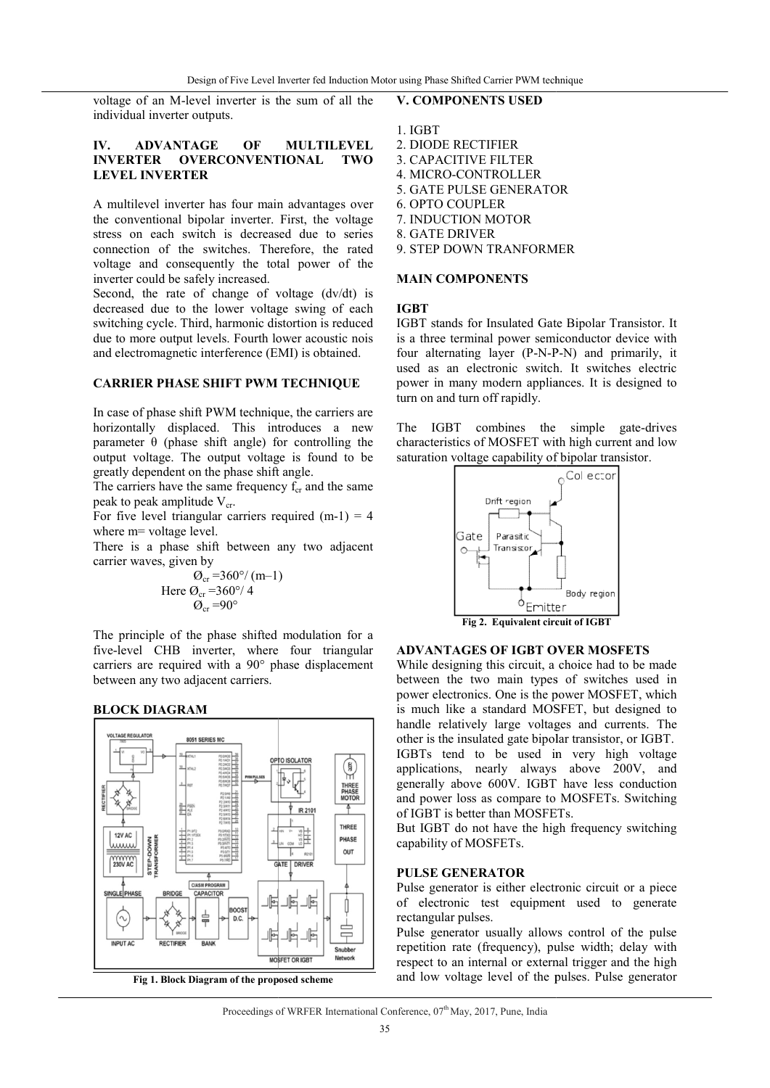voltage of an M-level inverter is the sum of all the individual inverter outputs.

#### **IV. ADVANTAGE OF MULTILEVEL INVERTER OVERCONVENTIONAL TWO LEVEL INVERTER**

A multilevel inverter has four main advantages over the conventional bipolar inverter. First, the voltage stress on each switch is decreased due to series connection of the switches. Therefore, the rated voltage and consequently the total power of the inverter could be safely increased.

Second, the rate of change of voltage (dv/dt) is decreased due to the lower voltage swing of each switching cycle. Third, harmonic distortion is reduced due to more output levels. Fourth lower acoustic nois and electromagnetic interference (EMI) is obtained.

#### **CARRIER PHASE SHIFT PWM TECHNIQUE**

In case of phase shift PWM technique, the carriers are horizontally displaced. This introduces a new parameter  $\theta$  (phase shift angle) for controlling the output voltage. The output voltage is found to be greatly dependent on the phase shift angle. Is. Fourth lower acoustic nois<br>
reference (EMI) is obtained.<br> **IIFT PWM TECHNIQUE**<br>
WM technique, the carriers are<br>
This introduces a new<br>
Ift angle) for controlling the<br>
ttput voltage is found to be<br>
phase shift angle.<br>

The carriers have the same frequency  $f_{cr}$  and the same peak to peak amplitude V<sub>cr</sub>.

For five level triangular carriers required  $(m-1) = 4$ where m= voltage level.

There is a phase shift between any two adjacent carrier waves, given by

$$
\begin{array}{c}\n\mathcal{O}_{\text{cr}} = 360^{\circ}/\text{ (m--1)} \\
\text{Here } \mathcal{O}_{\text{cr}} = 360^{\circ}/\text{ 4} \\
\mathcal{O}_{\text{cr}} = 90^{\circ}\n\end{array}
$$

The principle of the phase shifted modulation for a five-level CHB inverter, where four triangular  $Q_{cr} = 360^{\circ}/4$ <br>  $Q_{cr} = 90^{\circ}$ <br>
The principle of the phase shifted modulation for a<br>
five-level CHB inverter, where four triangular<br>
carriers are required with a 90° phase displacement between any two adjacent carriers.





## **V. COMPONENTS USED**

- 1. IGBT
- 2. DIODE RECTIFIER
- 3. CAPACITIVE FILTER
- 4. MICRO-CONTROLLER
- 5. GATE PULSE GENERATOR
- 6. OPTO COUPLER
- 7. INDUCTION MOTOR
- 8. GATE DRIVER 9. STEP DOWN TRANFORMER

#### **MAIN COMPONENTS**

#### **IGBT**

IGBT stands for Insulated Gate Binolar Transistor. It is a three terminal power semiconductor device with four alternating layer (P-N-P P-N) and primarily, it used as an electronic switch. It switches electric power in many modern appliances. It is designed to turn on and turn off rapidly. Carrier PWM technique<br>
NTS USED<br>
TIFIER<br>
E FILTER<br>
E GENERATOR<br>
LER<br>
MOTOR<br>
ER<br>
TRANFORMER<br>
MENTS<br>
Insulated Gate Bipolar Transistor. It

The IGBT combines the simple gate-drives characteristics of MOSFET with high current and low saturation voltage capability of bipolar transistor.



## **ADVANTAGES OF IGBT OVER MOSFETS**

While designing this circuit, a choice had to be made between the two main types of switches used in power electronics. One is the power MOSFET, which is much like a standard MOSFET, but designed to handle relatively large voltages and currents. The other is the insulated gate bipolar transistor, or IGBT. IGBTs tend to be used in very high voltage applications, nearly always above 200V, and generally above 600V. IGBT have less conduction and power loss as compare to MOSFETs. of IGBT is better than MOSFETs. While designing this circuit, a choice had to be made<br>between the two main types of switches used in<br>power electronics. One is the power MOSFET, which<br>is much like a standard MOSFET, but designed to<br>handle relatively large

But IGBT do not have the high frequency switching capability of MOSFETs.

#### **PULSE GENERATOR**

Pulse generator is either electronic circuit or a piece of electronic test equipment used to generate rectangular pulses. of IGBT is better than MOSFETs.<br>But IGBT do not have the high frequency switching<br>capability of MOSFETs.<br>**PULSE GENERATOR**<br>Pulse generator is either electronic circuit or a piece<br>of electronic test equipment used to genera

Pulse generator usually allows control of the pulse repetition rate (frequency), pulse width; delay with respect to an internal or external trigger and the high respect to an internal or external trigger and the high<br>and low voltage level of the pulses. Pulse generator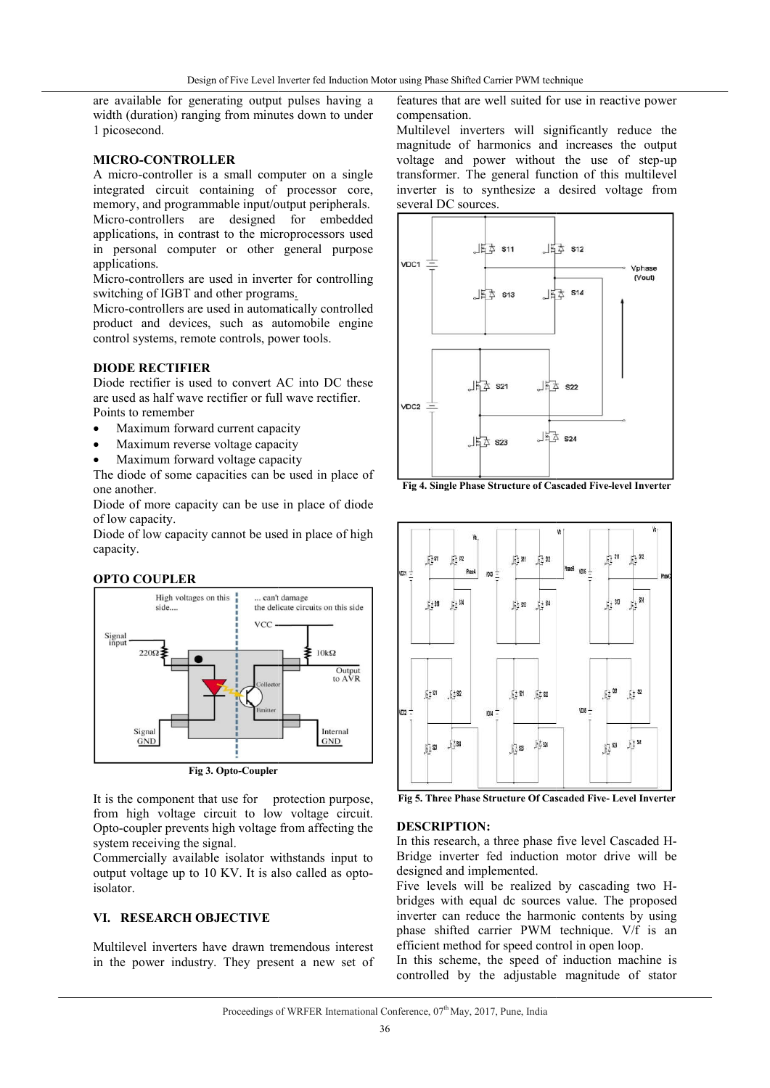are available for generating output pulses having a width (duration) ranging from minutes down to under 1 picosecond.

#### **MICRO-CONTROLLER**

A micro-controller is a small computer on a single integrated circuit containing of processor core, memory, and programmable input/output peripherals. width (duration) ranging from minutes down to under<br>
1 picosecond.<br> **MICRO-CONTROLLER**<br>
A micro-controller is a small computer on a single<br>
integrated circuit containing of processor core,<br>
memory, and programmable input/o applications, in contrast to the microprocessors used in personal computer or other general purpose applications.

Micro-controllers are used in inverter for controlling Micro-controllers are used in inverter<br>switching of IGBT and other programs.

Micro-controllers are used in automatically controlled product and devices, such as automobile engine control systems, remote controls, power tools.

## **DIODE RECTIFIER**

Diode rectifier is used to convert AC into DC these are used as half wave rectifier or full wave rectifier. Points to remember

- Maximum forward current capacity
- Maximum reverse voltage capacity
- Maximum forward voltage capacity

The diode of some capacities can be used in place of one another.

Diode of more capacity can be use in place of diode of low capacity.

Diode of low capacity cannot be used in place of high capacity.





It is the component that use for protection purpose, from high voltage circuit to low voltage circuit. Opto-coupler prevents high voltage from affecting the system receiving the signal.

Commercially available isolator withstands input to output voltage up to 10 KV. It is also called as optoisolator.

# **VI. RESEARCH OBJECTIVE**

Multilevel inverters have drawn tremendous interest in the power industry. They present a new set of

features that are well suited for use in reactive power compensation. ifted Carrier PWM technique<br>
t are well suited for use in reactive power<br>
in.<br>
inverters will significantly reduce the<br>
of harmonics and increases the output

Multilevel inverters will significantly reduce the magnitude of harmonics and increases the output voltage and power without the use of step-up transformer. The general function of this multilevel transformer. The general function of this multilevel<br>inverter is to synthesize a desired voltage from several DC sources.



**Fig 4. Single Phase Structure of Cascaded Five-level Inverter** 



**Fig 5. Three Phase Structure Of Cascaded Five Structure Five- Level Inverter**

#### **DESCRIPTION:**

In this research, a three phase five level Cascaded H-Bridge inverter fed induction motor drive will be designed and implemented. Bridge inverter fed induction motor drive will be designed and implemented.<br>Five levels will be realized by cascading two H-

bridges with equal dc sources value. The proposed inverter can reduce the harmonic contents by using phase shifted carrier PWM technique. V/f is an efficient method for speed control in open loop. inverter can reduce the harmonic<br>phase shifted carrier PWM tec<br>efficient method for speed control

In this scheme, the speed of induction machine is controlled by the adjustable magnitude of stator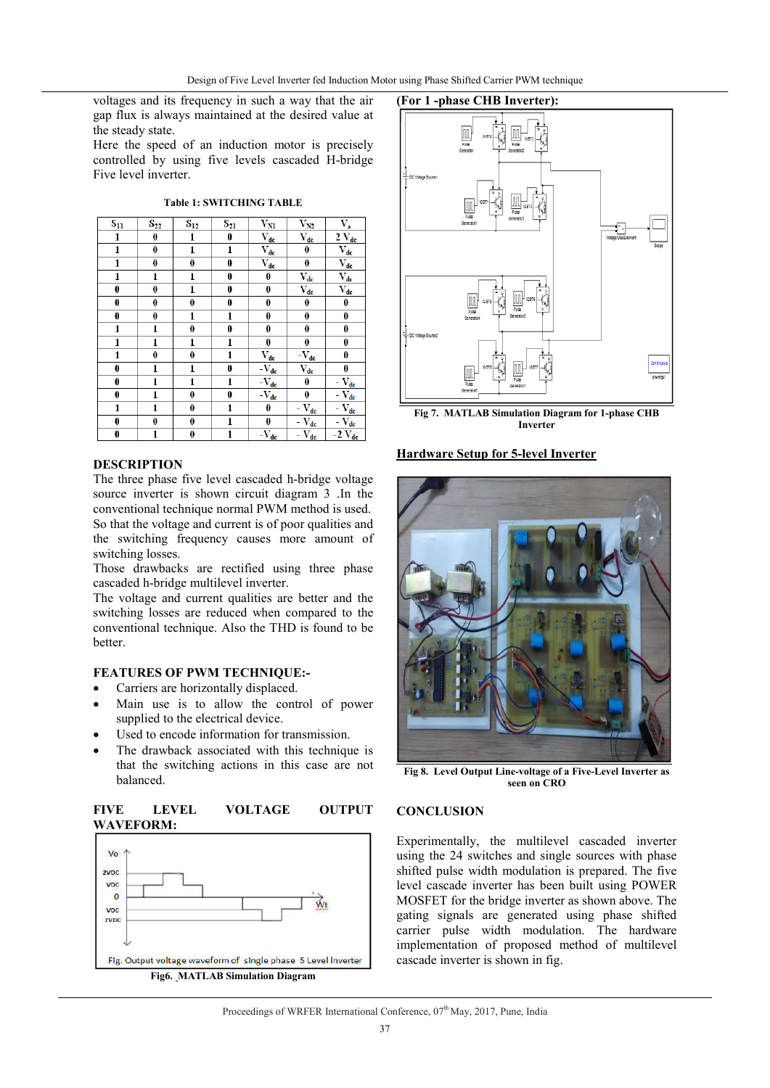voltages and its frequency in such a way that the air gap flux is always maintained at the desired value at the steady state.

Here the speed of an induction motor is precisely controlled by using five levels cascaded H-bridge Five level inverter.

**Table 1: SWITCHING TABLE**

| $S_{11}$ | $S_{22}$     | $S_{12}$         | $\mathbf{S_{21}}$ | $\bar{V}_{\underline{M}}$                          | $\rm V_{N2}$                                       | $V_a$                                            |
|----------|--------------|------------------|-------------------|----------------------------------------------------|----------------------------------------------------|--------------------------------------------------|
| 1        | 0            | 1                | 0                 | $\bar{\rm V}_{\rm dc}$                             | $\bar{V}_{\underline{dc}}$                         | $2 V_{dc}$                                       |
| 1        | 0            | 1                | 1                 | $\bar{V}_{dc}$                                     | 0                                                  | $\bar{V}_{\underline{dc}}$                       |
| 1        | $\bf{0}$     | $\bf{0}$         | $\bf{0}$          | $\bar{V}_{\underline{de}}$                         | $\pmb{0}$                                          | $\bar{V}_{\underline{dc}}$                       |
| 1        | $\mathbf{1}$ | $\mathbf{1}$     | $\bf{0}$          | 0                                                  | $V_{dc}$                                           | $\bar{V}_{dc}$                                   |
| 0        | 0            | 1                | 0                 | 0                                                  | $V_{dc}$                                           | $V_{dc}$                                         |
| 0        | 0            | 0                | $\bf{0}$          | 0                                                  | 0                                                  | 0                                                |
| 0        | $\pmb{0}$    | 1                | 1                 | 0                                                  | 0                                                  | 0                                                |
| 1        | 1            | $\boldsymbol{0}$ | $\bf{0}$          | 0                                                  | 0                                                  | $\bf{0}$                                         |
| 1        | $\mathbf{1}$ | 1                | $\mathbf{1}$      | 0                                                  | 0                                                  | $\bf{0}$                                         |
| 1        | $\bf{0}$     | $\bf{0}$         | 1                 | $\bar{V}_{dc}$                                     | $-\overline{V}_{dc}$                               | 0                                                |
| $\bf{0}$ | $\mathbf{1}$ | $\mathbf{1}$     | $\bf{0}$          | $-\overline{V_{dc}}$                               | $\bar{V}_{dc}$                                     | $\bf{0}$                                         |
| 0        | 1            | 1                | 1                 | $-\overline{\mathrm{V}_{\underline{\mathrm{dc}}}}$ | $\bf{0}$                                           | $-\overline{\mathbf{V}_{dc}}$                    |
| 0        | $\mathbf{1}$ | $\pmb{0}$        | 0                 | $-\overline{\mathrm{V}}_{\mathrm{dc}}$             | 0                                                  | $-\overline{\mathbf{V}_{\text{dc}}}$             |
| 1        | $\mathbf{1}$ | $\bf{0}$         | $\mathbf{1}$      | 0                                                  | $-\overline{\mathrm{V}}_{\underline{\mathrm{dc}}}$ | $-\overline{\mathbf{V}_{\underline{\text{dc}}}}$ |
| $\bf{0}$ | $\bf{0}$     | $\bf{0}$         | 1                 | 0                                                  | $-\overline{\mathbf{V}}_{\text{dc}}$               | $-V_{dc}$                                        |
| 0        | 1            | 0                | 1                 | $-\overline{V_{dc}}$                               | $-\overline{V_{dc}}$                               | $-2$ $V_{dc}$                                    |

#### **DESCRIPTION**

The three phase five level cascaded h-bridge voltage source inverter is shown circuit diagram 3 .In the conventional technique normal PWM method is used. So that the voltage and current is of poor qualities and the switching frequency causes more amount of switching losses.

Those drawbacks are rectified using three phase cascaded h-bridge multilevel inverter.

The voltage and current qualities are better and the switching losses are reduced when compared to the conventional technique. Also the THD is found to be better.

# **FEATURES OF PWM TECHNIQUE:-**

- Carriers are horizontally displaced.
- Main use is to allow the control of power supplied to the electrical device.
- Used to encode information for transmission.
- The drawback associated with this technique is that the switching actions in this case are not balanced.

#### **FIVE LEVEL VOLTAGE OUTPUT WAVEFORM:**



#### **(For 1 -phase CHB Inverter):**



**Fig 7. MATLAB Simulation Diagram for 1-phase CHB Inverter**

#### **Hardware Setup for 5-level Inverter**



**Fig 8. Level Output Line-voltage of a Five-Level Inverter as seen on CRO**

#### **CONCLUSION**

Experimentally, the multilevel cascaded inverter using the 24 switches and single sources with phase shifted pulse width modulation is prepared. The five level cascade inverter has been built using POWER MOSFET for the bridge inverter as shown above. The gating signals are generated using phase shifted carrier pulse width modulation. The hardware implementation of proposed method of multilevel cascade inverter is shown in fig.